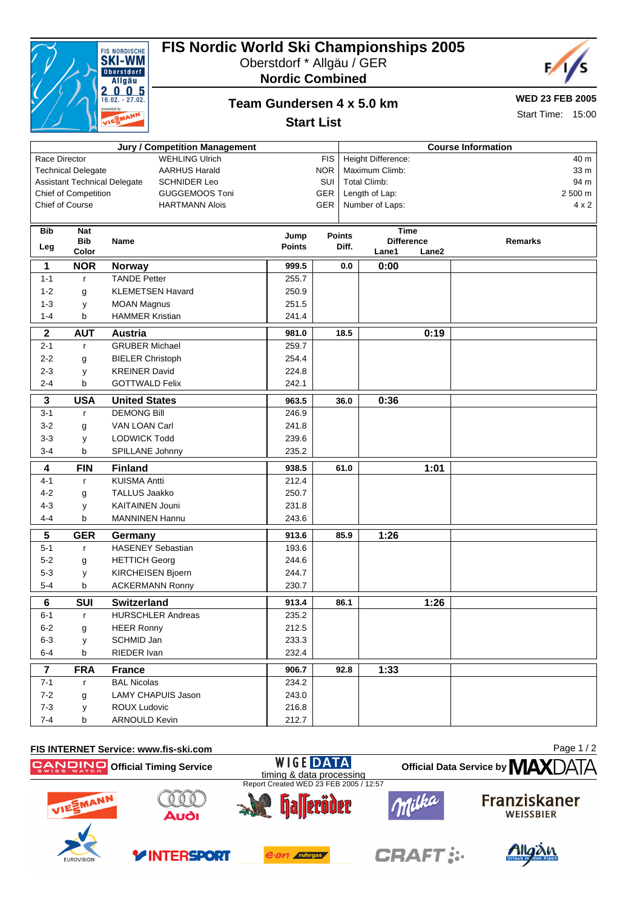| <b>Jury / Competition Management</b>                       |                          |                                  |                |            |                    | <b>Course Information</b>        |                |  |
|------------------------------------------------------------|--------------------------|----------------------------------|----------------|------------|--------------------|----------------------------------|----------------|--|
| <b>WEHLING Ulrich</b><br>Race Director                     |                          |                                  |                | <b>FIS</b> | Height Difference: |                                  | 40 m           |  |
| <b>Technical Delegate</b><br><b>AARHUS Harald</b>          |                          |                                  |                | <b>NOR</b> |                    | Maximum Climb:                   | 33 m           |  |
| <b>Assistant Technical Delegate</b><br><b>SCHNIDER Leo</b> |                          |                                  |                | SUI        |                    | <b>Total Climb:</b>              | 94 m           |  |
| Chief of Competition<br><b>GUGGEMOOS Toni</b>              |                          |                                  |                | GER        |                    | Length of Lap:                   | 2 500 m        |  |
| Chief of Course<br><b>HARTMANN Alois</b>                   |                          |                                  |                | GER        |                    | Number of Laps:                  | $4 \times 2$   |  |
|                                                            |                          |                                  |                |            |                    |                                  |                |  |
| <b>Bib</b>                                                 | <b>Nat</b><br><b>Bib</b> | Name                             | Jump           |            | <b>Points</b>      | <b>Time</b><br><b>Difference</b> | <b>Remarks</b> |  |
| Leg                                                        | Color                    |                                  | <b>Points</b>  |            | Diff.              | Lane2<br>Lane1                   |                |  |
| 1                                                          | <b>NOR</b>               | Norway                           | 999.5          |            | 0.0                | 0:00                             |                |  |
| $1 - 1$                                                    | r                        | <b>TANDE Petter</b>              | 255.7          |            |                    |                                  |                |  |
| $1 - 2$                                                    | g                        | <b>KLEMETSEN Havard</b>          | 250.9          |            |                    |                                  |                |  |
| $1 - 3$                                                    | У                        | <b>MOAN Magnus</b>               | 251.5          |            |                    |                                  |                |  |
| $1 - 4$                                                    | b                        | <b>HAMMER Kristian</b>           | 241.4          |            |                    |                                  |                |  |
|                                                            |                          |                                  |                |            |                    |                                  |                |  |
| $\boldsymbol{2}$<br>$2 - 1$                                | <b>AUT</b>               | Austria<br><b>GRUBER Michael</b> | 981.0<br>259.7 |            | 18.5               | 0:19                             |                |  |
|                                                            | $\mathsf{r}$             |                                  |                |            |                    |                                  |                |  |
| $2 - 2$                                                    | g                        | <b>BIELER Christoph</b>          | 254.4          |            |                    |                                  |                |  |
| $2 - 3$                                                    | y                        | <b>KREINER David</b>             | 224.8          |            |                    |                                  |                |  |
| $2 - 4$                                                    | b                        | <b>GOTTWALD Felix</b>            | 242.1          |            |                    |                                  |                |  |
| $\mathbf 3$                                                | <b>USA</b>               | <b>United States</b>             | 963.5          |            | 36.0               | 0:36                             |                |  |
| $3 - 1$                                                    | $\mathsf{r}$             | <b>DEMONG Bill</b>               | 246.9          |            |                    |                                  |                |  |
| $3 - 2$                                                    | g                        | VAN LOAN Carl                    | 241.8          |            |                    |                                  |                |  |
| $3 - 3$                                                    | у                        | <b>LODWICK Todd</b>              | 239.6          |            |                    |                                  |                |  |
| $3-4$                                                      | b                        | SPILLANE Johnny                  | 235.2          |            |                    |                                  |                |  |
| 4                                                          | <b>FIN</b>               | <b>Finland</b>                   | 938.5          |            | 61.0               | 1:01                             |                |  |
| $4 - 1$                                                    | $\mathbf{r}$             | <b>KUISMA Antti</b>              | 212.4          |            |                    |                                  |                |  |
| $4 - 2$                                                    | g                        | <b>TALLUS Jaakko</b>             | 250.7          |            |                    |                                  |                |  |
| $4 - 3$                                                    | У                        | <b>KAITAINEN Jouni</b>           | 231.8          |            |                    |                                  |                |  |
| $4 - 4$                                                    | b                        | <b>MANNINEN Hannu</b>            | 243.6          |            |                    |                                  |                |  |
| $5\phantom{.0}$                                            | <b>GER</b>               | Germany                          | 913.6          |            | 85.9               | 1:26                             |                |  |
| $5 - 1$                                                    | $\mathsf{r}$             | <b>HASENEY Sebastian</b>         | 193.6          |            |                    |                                  |                |  |
| $5-2$                                                      | g                        | <b>HETTICH Georg</b>             | 244.6          |            |                    |                                  |                |  |
| $5 - 3$                                                    | у                        | <b>KIRCHEISEN Bjoern</b>         | 244.7          |            |                    |                                  |                |  |
| $5 - 4$                                                    | b                        | <b>ACKERMANN Ronny</b>           | 230.7          |            |                    |                                  |                |  |
| 6                                                          | <b>SUI</b>               | <b>Switzerland</b>               | 913.4          |            | 86.1               | 1:26                             |                |  |
| 6-1                                                        | r                        | <b>HURSCHLER Andreas</b>         | 235.2          |            |                    |                                  |                |  |
| $6 - 2$                                                    | g                        | <b>HEER Ronny</b>                | 212.5          |            |                    |                                  |                |  |
| $6 - 3$                                                    | У                        | SCHMID Jan                       | 233.3          |            |                    |                                  |                |  |
| $6-4$                                                      | b                        | RIEDER Ivan                      | 232.4          |            |                    |                                  |                |  |
| $\overline{7}$                                             | <b>FRA</b>               | <b>France</b>                    | 906.7          |            | 92.8               | 1:33                             |                |  |
| $7 - 1$                                                    | r                        | <b>BAL Nicolas</b>               | 234.2          |            |                    |                                  |                |  |
| $7 - 2$                                                    | g                        | LAMY CHAPUIS Jason               | 243.0          |            |                    |                                  |                |  |
| $7 - 3$                                                    | У                        | <b>ROUX Ludovic</b>              | 216.8          |            |                    |                                  |                |  |
| $7 - 4$                                                    | b                        | <b>ARNOULD Kevin</b>             | 212.7          |            |                    |                                  |                |  |
|                                                            |                          |                                  |                |            |                    |                                  |                |  |

# **FIS Nordic World Ski Championships 2005**

Oberstdorf \* Allgäu / GER **Nordic Combined**

### **Team Gundersen 4 x 5.0 km Start List**

**WED 23 FEB 2005**

F

Start Time: 15:00

#### **FIS INTERNET Service: www.fis-ski.com** Page 1 / 2**WIGE DATA Official Data Service by MAX Official Timing Service** timing & data processing Report Created WED 23 FEB 2005 / 12:57 **Franziskaner** eröder WEISSBIER יאיי א **CRAFT: INTERSPORT** e.on ruhrgas